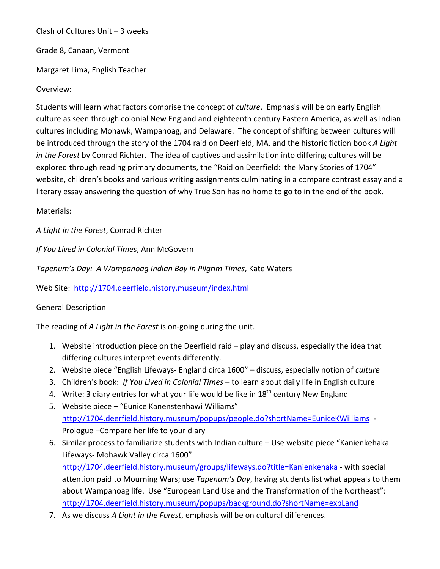Clash of Cultures Unit – 3 weeks

Grade 8, Canaan, Vermont

Margaret Lima, English Teacher

## Overview:

Students will learn what factors comprise the concept of *culture*. Emphasis will be on early English culture as seen through colonial New England and eighteenth century Eastern America, as well as Indian cultures including Mohawk, Wampanoag, and Delaware. The concept of shifting between cultures will be introduced through the story of the 1704 raid on Deerfield, MA, and the historic fiction book *A Light in the Forest* by Conrad Richter. The idea of captives and assimilation into differing cultures will be explored through reading primary documents, the "Raid on Deerfield: the Many Stories of 1704" website, children's books and various writing assignments culminating in a compare contrast essay and a literary essay answering the question of why True Son has no home to go to in the end of the book.

## Materials:

*A Light in the Forest*, Conrad Richter

*If You Lived in Colonial Times*, Ann McGovern

*Tapenum's Day: A Wampanoag Indian Boy in Pilgrim Times*, Kate Waters

Web Site: <http://1704.deerfield.history.museum/index.html>

## General Description

The reading of *A Light in the Forest* is on-going during the unit.

- 1. Website introduction piece on the Deerfield raid play and discuss, especially the idea that differing cultures interpret events differently.
- 2. Website piece "English Lifeways- England circa 1600" discuss, especially notion of *culture*
- 3. Children's book: *If You Lived in Colonial Times* to learn about daily life in English culture
- 4. Write: 3 diary entries for what your life would be like in  $18<sup>th</sup>$  century New England
- 5. Website piece "Eunice Kanenstenhawi Williams" <http://1704.deerfield.history.museum/popups/people.do?shortName=EuniceKWilliams>- Prologue –Compare her life to your diary
- 6. Similar process to familiarize students with Indian culture Use website piece "Kanienkehaka Lifeways- Mohawk Valley circa 1600" <http://1704.deerfield.history.museum/groups/lifeways.do?title=Kanienkehaka> - with special attention paid to Mourning Wars; use *Tapenum's Day*, having students list what appeals to them about Wampanoag life. Use "European Land Use and the Transformation of the Northeast": <http://1704.deerfield.history.museum/popups/background.do?shortName=expLand>
- 7. As we discuss *A Light in the Forest*, emphasis will be on cultural differences.